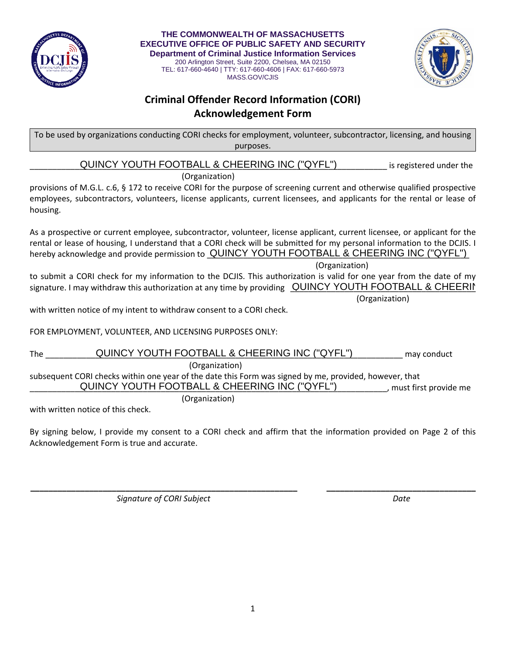

 **THE COMMONWEALTH OF MASSACHUSETTS EXECUTIVE OFFICE OF PUBLIC SAFETY AND SECURITY Department of Criminal Justice Information Services**  200 Arlington Street, Suite 2200, Chelsea, MA 02150 TEL: 617-660-4640 | TTY: 617-660-4606 | FAX: 617-660-5973 MASS.GOV/CJIS



## **Criminal Offender Record Information (CORI) Acknowledgement Form**

To be used by organizations conducting CORI checks for employment, volunteer, subcontractor, licensing, and housing purposes.

**EVALUTE CONTING INCOUTH FOOTBALL & CHEERING INC ("QYFL")** Si registered under the

(Organization)

provisions of M.G.L. c.6, § 172 to receive CORI for the purpose of screening current and otherwise qualified prospective employees, subcontractors, volunteers, license applicants, current licensees, and applicants for the rental or lease of housing.

As a prospective or current employee, subcontractor, volunteer, license applicant, current licensee, or applicant for the rental or lease of housing, I understand that a CORI check will be submitted for my personal information to the DCJIS. I hereby acknowledge and provide permission to **QUINCY YOUTH FOOTBALL & CHEERING INC ("QYFL")** 

(Organization)

to submit a CORI check for my information to the DCJIS. This authorization is valid for one year from the date of my signature. I may withdraw this authorization at any time by providing  $\Box$  QUINCY YOUTH FOOTBALL & CHEERING  $\Box$ 

(Organization)

with written notice of my intent to withdraw consent to a CORI check.

FOR EMPLOYMENT, VOLUNTEER, AND LICENSING PURPOSES ONLY:

The \_\_\_\_\_\_\_\_\_\_\_\_\_\_\_\_\_\_\_\_\_\_\_\_\_\_\_\_\_\_\_\_\_\_\_\_\_\_\_\_\_\_\_\_\_\_\_\_\_\_\_\_\_\_\_\_\_\_\_\_\_\_\_\_\_\_\_\_\_\_\_\_\_\_\_\_\_\_\_ may conduct QUINCY YOUTH FOOTBALL & CHEERING INC ("QYFL") (Organization) subsequent CORI checks within one year of the date this Form was signed by me, provided, however, that **QUINCY YOUTH FOOTBALL & CHEERING INC ("QYFL")** must first provide me (Organization)

with written notice of this check.

By signing below, I provide my consent to a CORI check and affirm that the information provided on Page 2 of this Acknowledgement Form is true and accurate.

*Signature of CORI Subject Date*

**\_\_\_\_\_\_\_\_\_\_\_\_\_\_\_\_\_\_\_\_\_\_\_\_\_\_\_\_\_\_\_\_\_\_\_\_\_\_\_\_\_\_\_\_\_\_\_\_\_\_\_\_\_\_\_\_\_\_\_ \_\_\_\_\_\_\_\_\_\_\_\_\_\_\_\_\_\_\_\_\_\_\_\_\_\_\_\_\_\_\_\_\_**